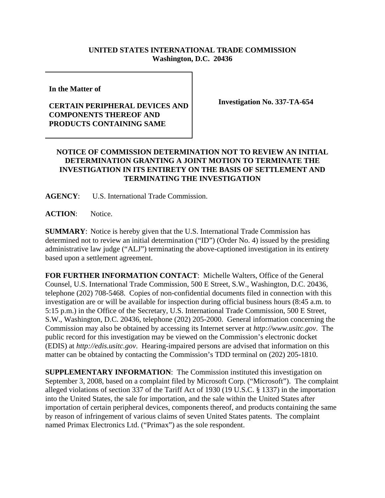## **UNITED STATES INTERNATIONAL TRADE COMMISSION Washington, D.C. 20436**

**In the Matter of** 

## **CERTAIN PERIPHERAL DEVICES AND COMPONENTS THEREOF AND PRODUCTS CONTAINING SAME**

**Investigation No. 337-TA-654**

## **NOTICE OF COMMISSION DETERMINATION NOT TO REVIEW AN INITIAL DETERMINATION GRANTING A JOINT MOTION TO TERMINATE THE INVESTIGATION IN ITS ENTIRETY ON THE BASIS OF SETTLEMENT AND TERMINATING THE INVESTIGATION**

**AGENCY**: U.S. International Trade Commission.

ACTION: Notice.

**SUMMARY**: Notice is hereby given that the U.S. International Trade Commission has determined not to review an initial determination ("ID") (Order No. 4) issued by the presiding administrative law judge ("ALJ") terminating the above-captioned investigation in its entirety based upon a settlement agreement.

**FOR FURTHER INFORMATION CONTACT**: Michelle Walters, Office of the General Counsel, U.S. International Trade Commission, 500 E Street, S.W., Washington, D.C. 20436, telephone (202) 708-5468. Copies of non-confidential documents filed in connection with this investigation are or will be available for inspection during official business hours (8:45 a.m. to 5:15 p.m.) in the Office of the Secretary, U.S. International Trade Commission, 500 E Street, S.W., Washington, D.C. 20436, telephone (202) 205-2000. General information concerning the Commission may also be obtained by accessing its Internet server at *http://www.usitc.gov*. The public record for this investigation may be viewed on the Commission's electronic docket (EDIS) at *http://edis.usitc.gov*. Hearing-impaired persons are advised that information on this matter can be obtained by contacting the Commission's TDD terminal on (202) 205-1810.

**SUPPLEMENTARY INFORMATION**: The Commission instituted this investigation on September 3, 2008, based on a complaint filed by Microsoft Corp. ("Microsoft"). The complaint alleged violations of section 337 of the Tariff Act of 1930 (19 U.S.C. § 1337) in the importation into the United States, the sale for importation, and the sale within the United States after importation of certain peripheral devices, components thereof, and products containing the same by reason of infringement of various claims of seven United States patents. The complaint named Primax Electronics Ltd. ("Primax") as the sole respondent.